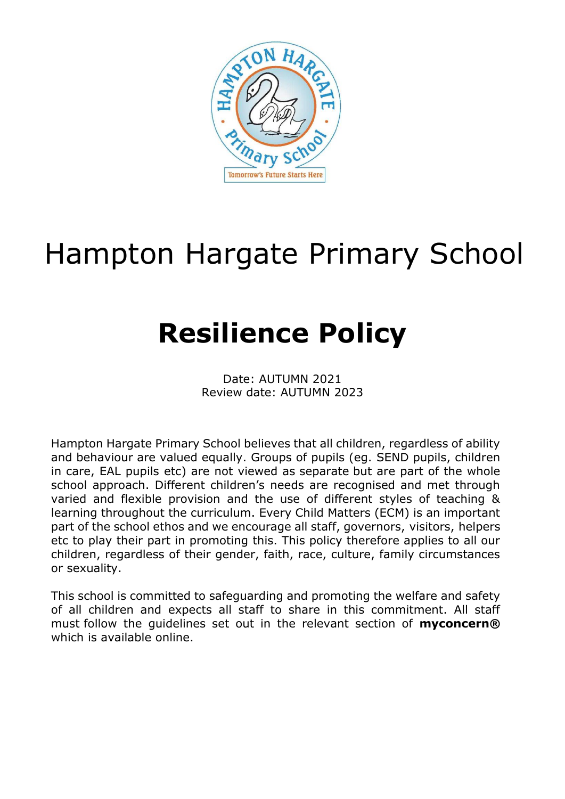

# Hampton Hargate Primary School

# **Resilience Policy**

Date: AUTUMN 2021 Review date: AUTUMN 2023

Hampton Hargate Primary School believes that all children, regardless of ability and behaviour are valued equally. Groups of pupils (eg. SEND pupils, children in care, EAL pupils etc) are not viewed as separate but are part of the whole school approach. Different children's needs are recognised and met through varied and flexible provision and the use of different styles of teaching & learning throughout the curriculum. Every Child Matters (ECM) is an important part of the school ethos and we encourage all staff, governors, visitors, helpers etc to play their part in promoting this. This policy therefore applies to all our children, regardless of their gender, faith, race, culture, family circumstances or sexuality.

This school is committed to safeguarding and promoting the welfare and safety of all children and expects all staff to share in this commitment. All staff must follow the guidelines set out in the relevant section of **myconcern®** which is available online.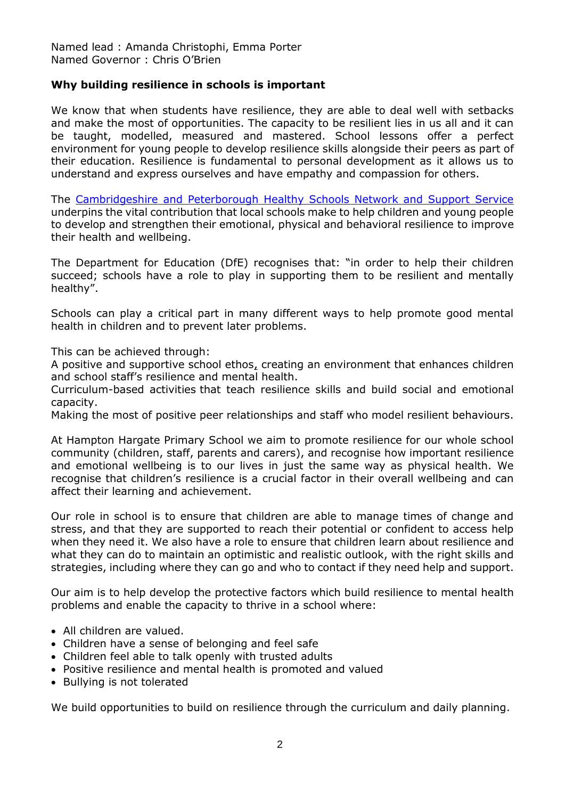Named lead : Amanda Christophi, Emma Porter Named Governor : Chris O'Brien

## **Why building resilience in schools is important**

We know that when students have resilience, they are able to deal well with setbacks and make the most of opportunities. The capacity to be resilient lies in us all and it can be taught, modelled, measured and mastered. School lessons offer a perfect environment for young people to develop resilience skills alongside their peers as part of their education. Resilience is fundamental to personal development as it allows us to understand and express ourselves and have empathy and compassion for others.

The [Cambridgeshire and Peterborough Healthy Schools Network and Support Service](https://healthyschools.info/) underpins the vital contribution that local schools make to help children and young people to develop and strengthen their emotional, physical and behavioral resilience to improve their health and wellbeing.

The Department for Education (DfE) recognises that: "in order to help their children succeed; schools have a role to play in supporting them to be resilient and mentally healthy".

Schools can play a critical part in many different ways to help promote good mental health in children and to prevent later problems.

This can be achieved through:

A positive and supportive school ethos, creating an environment that enhances children and school staff's resilience and mental health.

Curriculum-based activities that teach resilience skills and build social and emotional capacity.

Making the most of positive peer relationships and staff who model resilient behaviours.

At Hampton Hargate Primary School we aim to promote resilience for our whole school community (children, staff, parents and carers), and recognise how important resilience and emotional wellbeing is to our lives in just the same way as physical health. We recognise that children's resilience is a crucial factor in their overall wellbeing and can affect their learning and achievement.

Our role in school is to ensure that children are able to manage times of change and stress, and that they are supported to reach their potential or confident to access help when they need it. We also have a role to ensure that children learn about resilience and what they can do to maintain an optimistic and realistic outlook, with the right skills and strategies, including where they can go and who to contact if they need help and support.

Our aim is to help develop the protective factors which build resilience to mental health problems and enable the capacity to thrive in a school where:

- All children are valued.
- Children have a sense of belonging and feel safe
- Children feel able to talk openly with trusted adults
- Positive resilience and mental health is promoted and valued
- Bullying is not tolerated

We build opportunities to build on resilience through the curriculum and daily planning.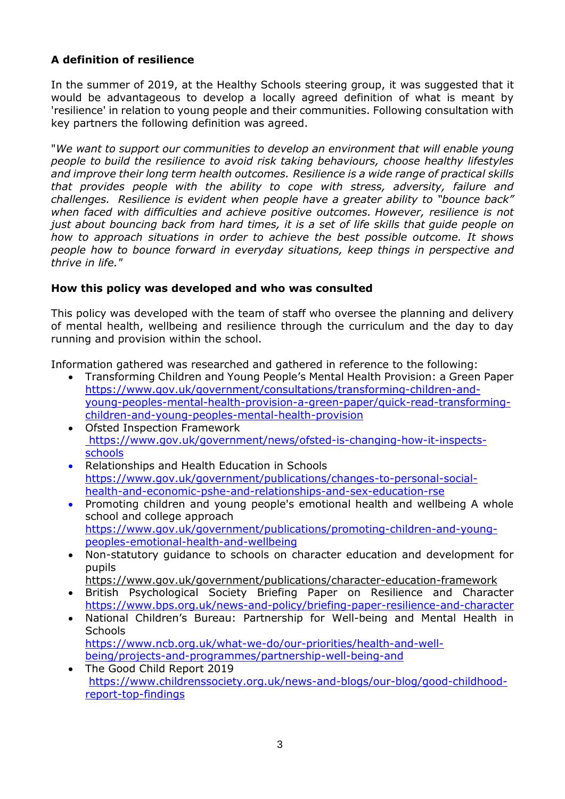# **A definition of resilience**

In the summer of 2019, at the Healthy Schools steering group, it was suggested that it would be advantageous to develop a locally agreed definition of what is meant by 'resilience' in relation to young people and their communities. Following consultation with key partners the following definition was agreed.

"*We want to support our communities to develop an environment that will enable young people to build the resilience to avoid risk taking behaviours, choose healthy lifestyles and improve their long term health outcomes. Resilience is a wide range of practical skills that provides people with the ability to cope with stress, adversity, failure and challenges. Resilience is evident when people have a greater ability to "bounce back" when faced with difficulties and achieve positive outcomes. However, resilience is not just about bouncing back from hard times, it is a set of life skills that guide people on how to approach situations in order to achieve the best possible outcome. It shows people how to bounce forward in everyday situations, keep things in perspective and thrive in life."*

# **How this policy was developed and who was consulted**

This policy was developed with the team of staff who oversee the planning and delivery of mental health, wellbeing and resilience through the curriculum and the day to day running and provision within the school.

Information gathered was researched and gathered in reference to the following:

- Transforming Children and Young People's Mental Health Provision: a Green Paper [https://www.gov.uk/government/consultations/transforming-children-and](https://www.gov.uk/government/consultations/transforming-children-and-young-peoples-mental-health-provision-a-green-paper/quick-read-transforming-children-and-young-peoples-mental-health-provision)[young-peoples-mental-health-provision-a-green-paper/quick-read-transforming](https://www.gov.uk/government/consultations/transforming-children-and-young-peoples-mental-health-provision-a-green-paper/quick-read-transforming-children-and-young-peoples-mental-health-provision)[children-and-young-peoples-mental-health-provision](https://www.gov.uk/government/consultations/transforming-children-and-young-peoples-mental-health-provision-a-green-paper/quick-read-transforming-children-and-young-peoples-mental-health-provision)
- Ofsted Inspection Framework [https://www.gov.uk/government/news/ofsted-is-changing-how-it-inspects](https://www.gov.uk/government/news/ofsted-is-changing-how-it-inspects-schools)[schools](https://www.gov.uk/government/news/ofsted-is-changing-how-it-inspects-schools)
- Relationships and Health Education in Schools [https://www.gov.uk/government/publications/changes-to-personal-social](https://www.gov.uk/government/publications/changes-to-personal-social-health-and-economic-pshe-and-relationships-and-sex-education-rse)[health-and-economic-pshe-and-relationships-and-sex-education-rse](https://www.gov.uk/government/publications/changes-to-personal-social-health-and-economic-pshe-and-relationships-and-sex-education-rse)
- Promoting children and young people's emotional health and wellbeing A whole school and college approach [https://www.gov.uk/government/publications/promoting-children-and-young](https://www.gov.uk/government/publications/promoting-children-and-young-peoples-emotional-health-and-wellbeing)[peoples-emotional-health-and-wellbeing](https://www.gov.uk/government/publications/promoting-children-and-young-peoples-emotional-health-and-wellbeing)
- Non-statutory guidance to schools on character education and development for pupils

https://www.gov.uk/government/publications/character-education-framework

- British Psychological Society Briefing Paper on Resilience and Character <https://www.bps.org.uk/news-and-policy/briefing-paper-resilience-and-character>
- National Children's Bureau: Partnership for Well-being and Mental Health in **Schools** [https://www.ncb.org.uk/what-we-do/our-priorities/health-and-well](https://www.ncb.org.uk/what-we-do/our-priorities/health-and-well-being/projects-and-programmes/partnership-well-being-and)[being/projects-and-programmes/partnership-well-being-and](https://www.ncb.org.uk/what-we-do/our-priorities/health-and-well-being/projects-and-programmes/partnership-well-being-and)
- The Good Child Report 2019 [https://www.childrenssociety.org.uk/news-and-blogs/our-blog/good-childhood](https://www.childrenssociety.org.uk/news-and-blogs/our-blog/good-childhood-report-top-findings)[report-top-findings](https://www.childrenssociety.org.uk/news-and-blogs/our-blog/good-childhood-report-top-findings)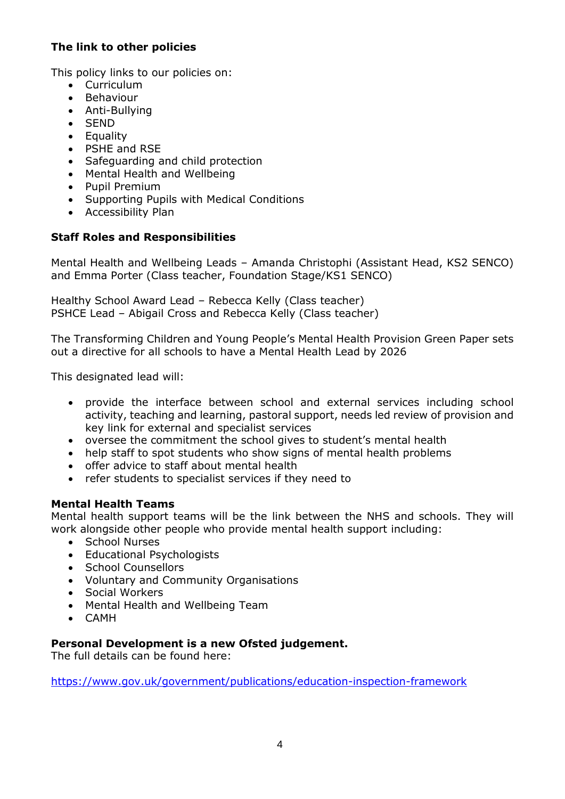# **The link to other policies**

This policy links to our policies on:

- Curriculum
- Behaviour
- Anti-Bullying
- SEND
- Equality
- PSHE and RSE
- Safeguarding and child protection
- Mental Health and Wellbeing
- Pupil Premium
- Supporting Pupils with Medical Conditions
- Accessibility Plan

# **Staff Roles and Responsibilities**

Mental Health and Wellbeing Leads – Amanda Christophi (Assistant Head, KS2 SENCO) and Emma Porter (Class teacher, Foundation Stage/KS1 SENCO)

Healthy School Award Lead – Rebecca Kelly (Class teacher) PSHCE Lead – Abigail Cross and Rebecca Kelly (Class teacher)

The Transforming Children and Young People's Mental Health Provision Green Paper sets out a directive for all schools to have a Mental Health Lead by 2026

This designated lead will:

- provide the interface between school and external services including school activity, teaching and learning, pastoral support, needs led review of provision and key link for external and specialist services
- oversee the commitment the school gives to student's mental health
- help staff to spot students who show signs of mental health problems
- offer advice to staff about mental health
- refer students to specialist services if they need to

# **Mental Health Teams**

Mental health support teams will be the link between the NHS and schools. They will work alongside other people who provide mental health support including:

- School Nurses
- Educational Psychologists
- School Counsellors
- Voluntary and Community Organisations
- Social Workers
- Mental Health and Wellbeing Team
- CAMH

# **Personal Development is a new Ofsted judgement.**

The full details can be found here:

<https://www.gov.uk/government/publications/education-inspection-framework>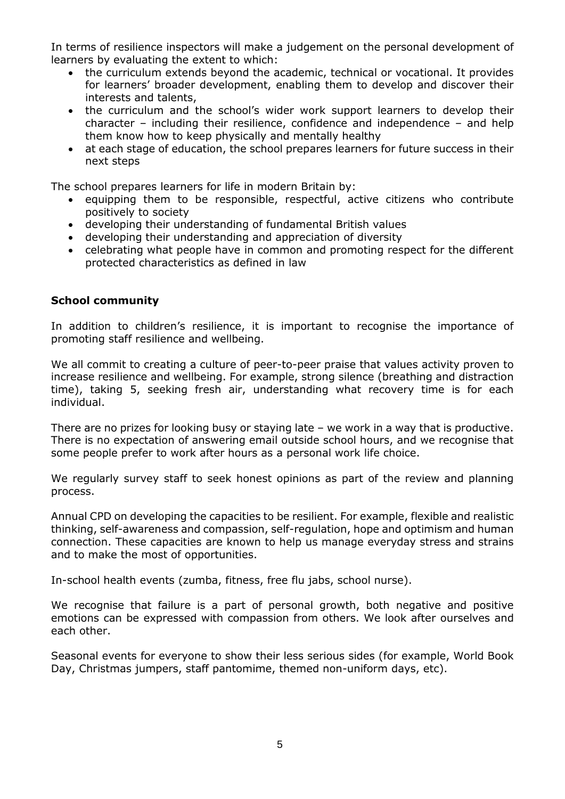In terms of resilience inspectors will make a judgement on the personal development of learners by evaluating the extent to which:

- the curriculum extends beyond the academic, technical or vocational. It provides for learners' broader development, enabling them to develop and discover their interests and talents,
- the curriculum and the school's wider work support learners to develop their character – including their resilience, confidence and independence – and help them know how to keep physically and mentally healthy
- at each stage of education, the school prepares learners for future success in their next steps

The school prepares learners for life in modern Britain by:

- equipping them to be responsible, respectful, active citizens who contribute positively to society
- developing their understanding of fundamental British values
- developing their understanding and appreciation of diversity
- celebrating what people have in common and promoting respect for the different protected characteristics as defined in law

#### **School community**

In addition to children's resilience, it is important to recognise the importance of promoting staff resilience and wellbeing.

We all commit to creating a culture of peer-to-peer praise that values activity proven to increase resilience and wellbeing. For example, strong silence (breathing and distraction time), taking 5, seeking fresh air, understanding what recovery time is for each individual.

There are no prizes for looking busy or staying late – we work in a way that is productive. There is no expectation of answering email outside school hours, and we recognise that some people prefer to work after hours as a personal work life choice.

We regularly survey staff to seek honest opinions as part of the review and planning process.

Annual CPD on developing the capacities to be resilient. For example, flexible and realistic thinking, self-awareness and compassion, self-regulation, hope and optimism and human connection. These capacities are known to help us manage everyday stress and strains and to make the most of opportunities.

In-school health events (zumba, fitness, free flu jabs, school nurse).

We recognise that failure is a part of personal growth, both negative and positive emotions can be expressed with compassion from others. We look after ourselves and each other.

Seasonal events for everyone to show their less serious sides (for example, World Book Day, Christmas jumpers, staff pantomime, themed non-uniform days, etc).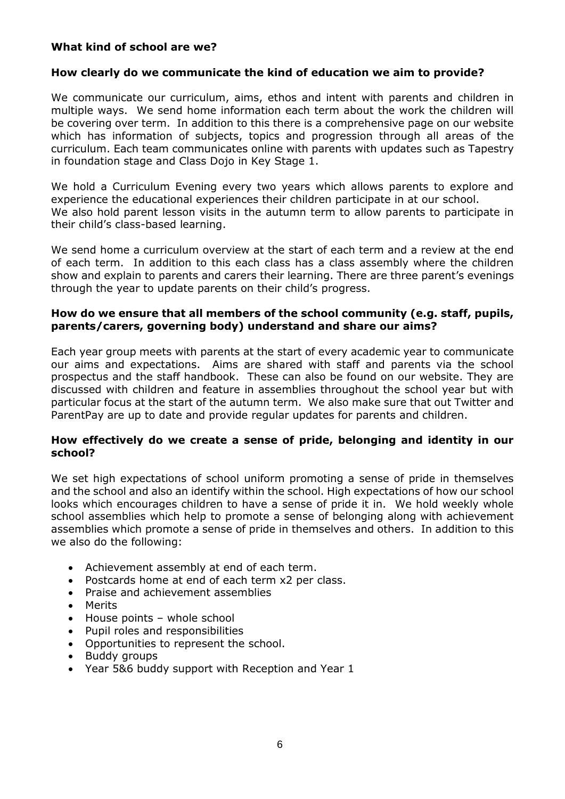# **What kind of school are we?**

## **How clearly do we communicate the kind of education we aim to provide?**

We communicate our curriculum, aims, ethos and intent with parents and children in multiple ways. We send home information each term about the work the children will be covering over term. In addition to this there is a comprehensive page on our website which has information of subjects, topics and progression through all areas of the curriculum. Each team communicates online with parents with updates such as Tapestry in foundation stage and Class Dojo in Key Stage 1.

We hold a Curriculum Evening every two years which allows parents to explore and experience the educational experiences their children participate in at our school. We also hold parent lesson visits in the autumn term to allow parents to participate in their child's class-based learning.

We send home a curriculum overview at the start of each term and a review at the end of each term. In addition to this each class has a class assembly where the children show and explain to parents and carers their learning. There are three parent's evenings through the year to update parents on their child's progress.

# **How do we ensure that all members of the school community (e.g. staff, pupils, parents/carers, governing body) understand and share our aims?**

Each year group meets with parents at the start of every academic year to communicate our aims and expectations. Aims are shared with staff and parents via the school prospectus and the staff handbook. These can also be found on our website. They are discussed with children and feature in assemblies throughout the school year but with particular focus at the start of the autumn term. We also make sure that out Twitter and ParentPay are up to date and provide regular updates for parents and children.

#### **How effectively do we create a sense of pride, belonging and identity in our school?**

We set high expectations of school uniform promoting a sense of pride in themselves and the school and also an identify within the school. High expectations of how our school looks which encourages children to have a sense of pride it in. We hold weekly whole school assemblies which help to promote a sense of belonging along with achievement assemblies which promote a sense of pride in themselves and others. In addition to this we also do the following:

- Achievement assembly at end of each term.
- Postcards home at end of each term x2 per class.
- Praise and achievement assemblies
- Merits
- House points whole school
- Pupil roles and responsibilities
- Opportunities to represent the school.
- Buddy groups
- Year 5&6 buddy support with Reception and Year 1